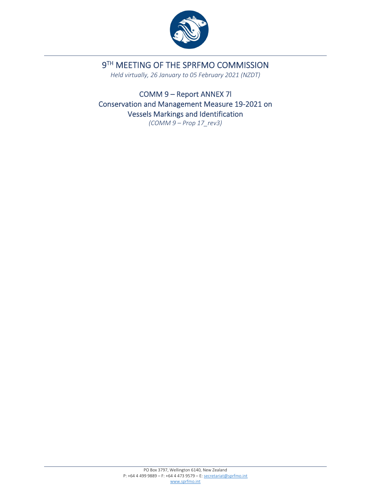

# 9TH MEETING OF THE SPRFMO COMMISSION

*Held virtually, 26 January to 05 February 2021 (NZDT)*

COMM 9 – Report ANNEX 7l Conservation and Management Measure 19‐2021 on Vessels Markings and Identification *(COMM 9 – Prop 17\_rev3)*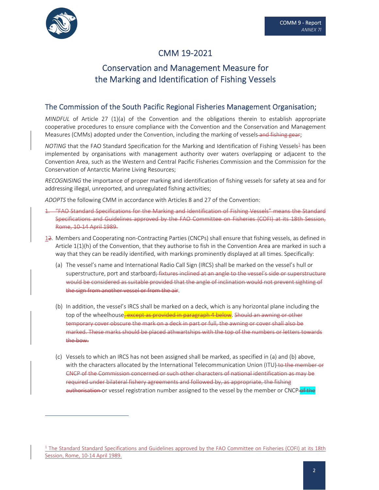

## CMM 19‐2021

## Conservation and Management Measure for the Marking and Identification of Fishing Vessels

## The Commission of the South Pacific Regional Fisheries Management Organisation;

*MINDFUL* of Article 27 (1)(a) of the Convention and the obligations therein to establish appropriate cooperative procedures to ensure compliance with the Convention and the Conservation and Management Measures (CMMs) adopted under the Convention, including the marking of vessels and fishing gear;

*NOTING* that the FAO Standard Specification for the Marking and Identification of Fishing Vessels<sup>1</sup> has been implemented by organisations with management authority over waters overlapping or adjacent to the Convention Area, such as the Western and Central Pacific Fisheries Commission and the Commission for the Conservation of Antarctic Marine Living Resources;

*RECOGNISING* the importance of proper marking and identification of fishing vessels for safety at sea and for addressing illegal, unreported, and unregulated fishing activities;

*ADOPTS* the following CMM in accordance with Articles 8 and 27 of the Convention:

- 1. "FAO Standard Specifications for the Marking and Identification of Fishing Vessels" means the Standard Specifications and Guidelines approved by the FAO Committee on Fisheries (COFI) at its 18th Session, Rome, 10‐14 April 1989.
- 12. Members and Cooperating non‐Contracting Parties (CNCPs) shall ensure that fishing vessels, as defined in Article 1(1)(h) of the Convention, that they authorise to fish in the Convention Area are marked in such a way that they can be readily identified, with markings prominently displayed at all times. Specifically:
	- (a) The vessel's name and International Radio Call Sign (IRCS) shall be marked on the vessel's hull or superstructure, port and starboard; fixtures inclined at an angle to the vessel's side or superstructure would be considered as suitable provided that the angle of inclination would not prevent sighting of the sign from another vessel or from the air.
	- (b) In addition, the vessel's IRCS shall be marked on a deck, which is any horizontal plane including the top of the wheelhouse<del>, except as provided in paragraph 4 below</del>. Should an awning or other temporary cover obscure the mark on a deck in part or full, the awning or cover shall also be marked. These marks should be placed athwartships with the top of the numbers or letters towards the bow.
	- (c) Vessels to which an IRCS has not been assigned shall be marked, as specified in (a) and (b) above, with the characters allocated by the International Telecommunication Union (ITU) to the member or CNCP of the Commission concerned or such other characters of national identification as may be required under bilateral fishery agreements and followed by, as appropriate, the fishing authorisation or vessel registration number assigned to the vessel by the member or CNCP-of the

 $1$  The Standard Standard Specifications and Guidelines approved by the FAO Committee on Fisheries (COFI) at its 18th Session, Rome, 10‐14 April 1989.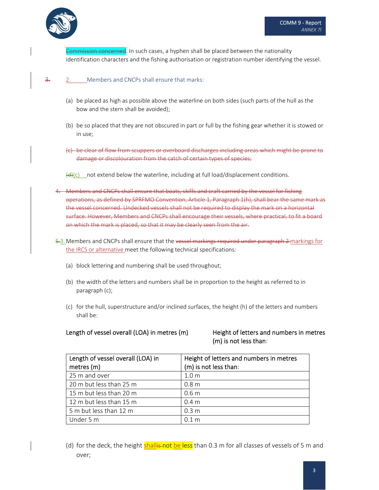

Commission concerned. In such cases, a hyphen shall be placed between the nationality identification characters and the fishing authorisation or registration number identifying the vessel.

### 3. 2. Members and CNCPs shall ensure that marks:

- (a) be placed as high as possible above the waterline on both sides (such parts of the hull as the bow and the stern shall be avoided);
- (b) be so placed that they are not obscured in part or full by the fishing gear whether it is stowed or in use;
- (c) be clear of flow from scuppers or overboard discharges including areas which might be prone to damage or discolouration from the catch of certain types of species;
- $\left(\frac{d}{dx}\right)(c)$  not extend below the waterline, including at full load/displacement conditions.
- 4. Members and CNCPs shall ensure that boats, skiffs and craft carried by the vessel for fishing operations, as defined by SPRFMO Convention, Article 1, Paragraph 1(h), shall bear the same mark as the vessel concerned. Undecked vessels shall not be required to display the mark on a horizontal surface. However, Members and CNCPs shall encourage their vessels, where practical, to fit a board on which the mark is placed, so that it may be clearly seen from the air.
- 5.3. Members and CNCPs shall ensure that the vessel markings required under paragraph 2 markings for the IRCS or alternative meet the following technical specifications:
	- (a) block lettering and numbering shall be used throughout;
	- (b) the width of the letters and numbers shall be in proportion to the height as referred to in paragraph (c);
	- (c) for the hull, superstructure and/or inclined surfaces, the height (h) of the letters and numbers shall be:

#### Length of vessel overall (LOA) in metres (m) Height of letters and numbers in metres

# (m) is not less than:

| Length of vessel overall (LOA) in<br>metres (m) | Height of letters and numbers in metres<br>(m) is not less than: |
|-------------------------------------------------|------------------------------------------------------------------|
| 25 m and over                                   | 1.0 <sub>m</sub>                                                 |
| 20 m but less than 25 m                         | 0.8 <sub>m</sub>                                                 |
| 15 m but less than 20 m                         | 0.6 <sub>m</sub>                                                 |
| 12 m but less than 15 m                         | 0.4 <sub>m</sub>                                                 |
| 5 m but less than 12 m                          | 0.3 <sub>m</sub>                                                 |
| Under 5 m                                       | 0.1 <sub>m</sub>                                                 |

(d) for the deck, the height shallis not be less than 0.3 m for all classes of vessels of 5 m and over;